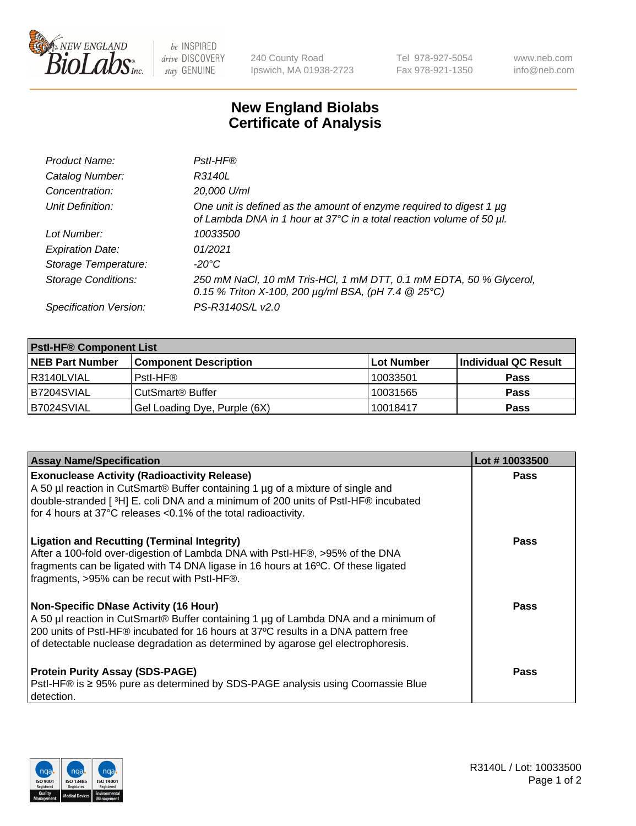

 $be$  INSPIRED drive DISCOVERY stay GENUINE

240 County Road Ipswich, MA 01938-2723 Tel 978-927-5054 Fax 978-921-1350 www.neb.com info@neb.com

## **New England Biolabs Certificate of Analysis**

| Product Name:              | Pstl-HF®                                                                                                                                             |
|----------------------------|------------------------------------------------------------------------------------------------------------------------------------------------------|
| Catalog Number:            | R3140L                                                                                                                                               |
| Concentration:             | 20,000 U/ml                                                                                                                                          |
| Unit Definition:           | One unit is defined as the amount of enzyme required to digest 1 µg<br>of Lambda DNA in 1 hour at 37°C in a total reaction volume of 50 µl.          |
| Lot Number:                | 10033500                                                                                                                                             |
| <b>Expiration Date:</b>    | 01/2021                                                                                                                                              |
| Storage Temperature:       | -20°C                                                                                                                                                |
| <b>Storage Conditions:</b> | 250 mM NaCl, 10 mM Tris-HCl, 1 mM DTT, 0.1 mM EDTA, 50 % Glycerol,<br>0.15 % Triton X-100, 200 $\mu$ g/ml BSA, (pH 7.4 $\textcircled{25}^{\circ}$ C) |
| Specification Version:     | PS-R3140S/L v2.0                                                                                                                                     |

| <b>PstI-HF® Component List</b> |                              |            |                      |  |
|--------------------------------|------------------------------|------------|----------------------|--|
| <b>NEB Part Number</b>         | <b>Component Description</b> | Lot Number | Individual QC Result |  |
| R3140LVIAL                     | Pstl-HF®                     | 10033501   | <b>Pass</b>          |  |
| <b>B7204SVIAL</b>              | CutSmart <sup>®</sup> Buffer | 10031565   | <b>Pass</b>          |  |
| B7024SVIAL                     | Gel Loading Dye, Purple (6X) | 10018417   | <b>Pass</b>          |  |

| <b>Assay Name/Specification</b>                                                                                                                                                                                                                                                                               | Lot #10033500 |
|---------------------------------------------------------------------------------------------------------------------------------------------------------------------------------------------------------------------------------------------------------------------------------------------------------------|---------------|
| <b>Exonuclease Activity (Radioactivity Release)</b><br>A 50 µl reaction in CutSmart® Buffer containing 1 µg of a mixture of single and<br>double-stranded [3H] E. coli DNA and a minimum of 200 units of PstI-HF® incubated                                                                                   | <b>Pass</b>   |
| for 4 hours at 37°C releases <0.1% of the total radioactivity.                                                                                                                                                                                                                                                |               |
| <b>Ligation and Recutting (Terminal Integrity)</b><br>After a 100-fold over-digestion of Lambda DNA with PstI-HF®, >95% of the DNA<br>fragments can be ligated with T4 DNA ligase in 16 hours at 16°C. Of these ligated<br>fragments, >95% can be recut with PstI-HF®.                                        | Pass          |
| <b>Non-Specific DNase Activity (16 Hour)</b><br>A 50 µl reaction in CutSmart® Buffer containing 1 µg of Lambda DNA and a minimum of<br>200 units of PstI-HF® incubated for 16 hours at 37°C results in a DNA pattern free<br>of detectable nuclease degradation as determined by agarose gel electrophoresis. | Pass          |
| <b>Protein Purity Assay (SDS-PAGE)</b><br>PstI-HF® is ≥ 95% pure as determined by SDS-PAGE analysis using Coomassie Blue<br>I detection.                                                                                                                                                                      | Pass          |